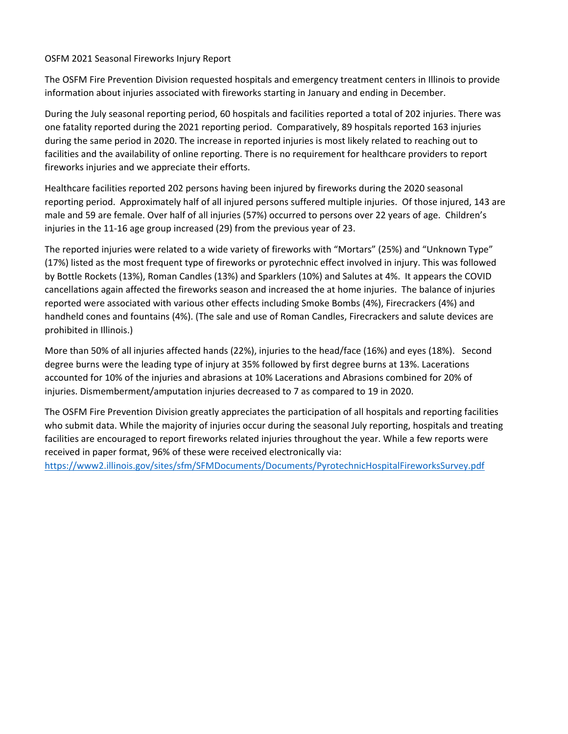## OSFM 2021 Seasonal Fireworks Injury Report

The OSFM Fire Prevention Division requested hospitals and emergency treatment centers in Illinois to provide information about injuries associated with fireworks starting in January and ending in December.

During the July seasonal reporting period, 60 hospitals and facilities reported a total of 202 injuries. There was one fatality reported during the 2021 reporting period. Comparatively, 89 hospitals reported 163 injuries during the same period in 2020. The increase in reported injuries is most likely related to reaching out to facilities and the availability of online reporting. There is no requirement for healthcare providers to report fireworks injuries and we appreciate their efforts.

Healthcare facilities reported 202 persons having been injured by fireworks during the 2020 seasonal reporting period. Approximately half of all injured persons suffered multiple injuries. Of those injured, 143 are male and 59 are female. Over half of all injuries (57%) occurred to persons over 22 years of age. Children's injuries in the 11-16 age group increased (29) from the previous year of 23.

The reported injuries were related to a wide variety of fireworks with "Mortars" (25%) and "Unknown Type" (17%) listed as the most frequent type of fireworks or pyrotechnic effect involved in injury. This was followed by Bottle Rockets (13%), Roman Candles (13%) and Sparklers (10%) and Salutes at 4%. It appears the COVID cancellations again affected the fireworks season and increased the at home injuries. The balance of injuries reported were associated with various other effects including Smoke Bombs (4%), Firecrackers (4%) and handheld cones and fountains (4%). (The sale and use of Roman Candles, Firecrackers and salute devices are prohibited in Illinois.)

More than 50% of all injuries affected hands (22%), injuries to the head/face (16%) and eyes (18%). Second degree burns were the leading type of injury at 35% followed by first degree burns at 13%. Lacerations accounted for 10% of the injuries and abrasions at 10% Lacerations and Abrasions combined for 20% of injuries. Dismemberment/amputation injuries decreased to 7 as compared to 19 in 2020.

The OSFM Fire Prevention Division greatly appreciates the participation of all hospitals and reporting facilities who submit data. While the majority of injuries occur during the seasonal July reporting, hospitals and treating facilities are encouraged to report fireworks related injuries throughout the year. While a few reports were received in paper format, 96% of these were received electronically via:

<https://www2.illinois.gov/sites/sfm/SFMDocuments/Documents/PyrotechnicHospitalFireworksSurvey.pdf>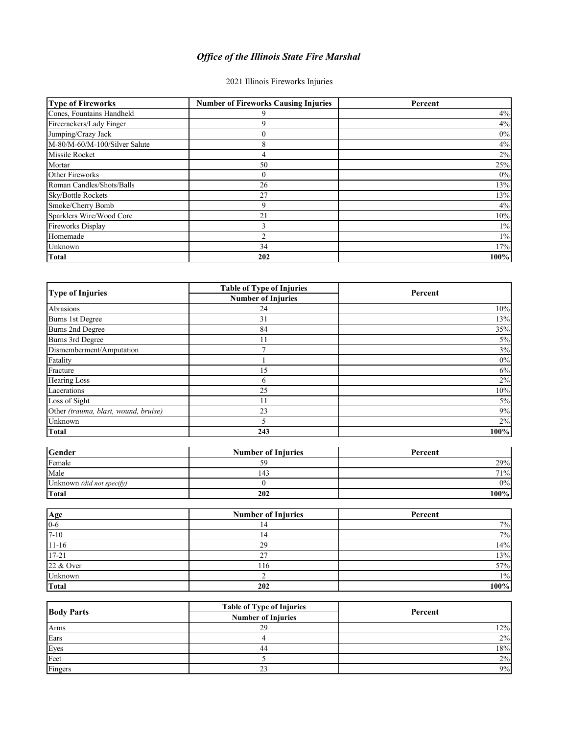## *Office of the Illinois State Fire Marshal*

## 2021 Illinois Fireworks Injuries

| <b>Type of Fireworks</b>      | <b>Number of Fireworks Causing Injuries</b> | Percent |
|-------------------------------|---------------------------------------------|---------|
| Cones, Fountains Handheld     |                                             | 4%      |
| Firecrackers/Lady Finger      | 9                                           | 4%      |
| Jumping/Crazy Jack            |                                             | $0\%$   |
| M-80/M-60/M-100/Silver Salute | 8                                           | 4%      |
| Missile Rocket                |                                             | $2\%$   |
| Mortar                        | 50                                          | 25%     |
| Other Fireworks               |                                             | $0\%$   |
| Roman Candles/Shots/Balls     | 26                                          | 13%     |
| Sky/Bottle Rockets            | 27                                          | 13%     |
| Smoke/Cherry Bomb             | 9                                           | 4%      |
| Sparklers Wire/Wood Core      | 21                                          | 10%     |
| <b>Fireworks Display</b>      | 3                                           | $1\%$   |
| Homemade                      |                                             | $1\%$   |
| Unknown                       | 34                                          | 17%     |
| <b>Total</b>                  | 202                                         | 100%    |

| <b>Type of Injuries</b>              | <b>Table of Type of Injuries</b><br><b>Number of Injuries</b> | Percent |
|--------------------------------------|---------------------------------------------------------------|---------|
|                                      |                                                               |         |
| <b>Burns 1st Degree</b>              | 31                                                            | 13%     |
| Burns 2nd Degree                     | 84                                                            | 35%     |
| Burns 3rd Degree                     | 11                                                            | $5\%$   |
| Dismemberment/Amputation             |                                                               | 3%      |
| Fatality                             |                                                               | $0\%$   |
| Fracture                             | 15                                                            | $6\%$   |
| Hearing Loss                         | 6                                                             | $2\%$   |
| Lacerations                          | 25                                                            | 10%     |
| Loss of Sight                        | 11                                                            | $5\%$   |
| Other (trauma, blast, wound, bruise) | 23                                                            | 9%      |
| Unknown                              |                                                               | $2\%$   |
| <b>Total</b>                         | 243                                                           | 100%    |

| <b>Gender</b>             | <b>Number of Injuries</b> | Percent |
|---------------------------|---------------------------|---------|
| Female                    |                           | 29%     |
| Male                      | 143                       | 71%     |
| Unknown (did not specify) |                           | 0%      |
| Total                     | 202                       | 100%    |

| Age       | <b>Number of Injuries</b> | Percent |
|-----------|---------------------------|---------|
| $0-6$     |                           | 7%      |
| $7 - 10$  |                           | 7%      |
| $11 - 16$ | 29                        | 14%     |
| $17 - 21$ | $\sim$                    | 13%     |
| 22 & Over | 116                       | 57%     |
| Unknown   |                           | $1\%$   |
| Total     | 202                       | 100%    |

| <b>Body Parts</b> | <b>Table of Type of Injuries</b> | Percent |
|-------------------|----------------------------------|---------|
|                   | <b>Number of Injuries</b>        |         |
| Arms              | 29                               | 12%     |
| Ears              |                                  | 2%      |
| Eyes              | 44                               | 18%     |
| Feet              |                                  | $2\%$   |
| Fingers           | $\bigcap$<br>23                  | 9%      |